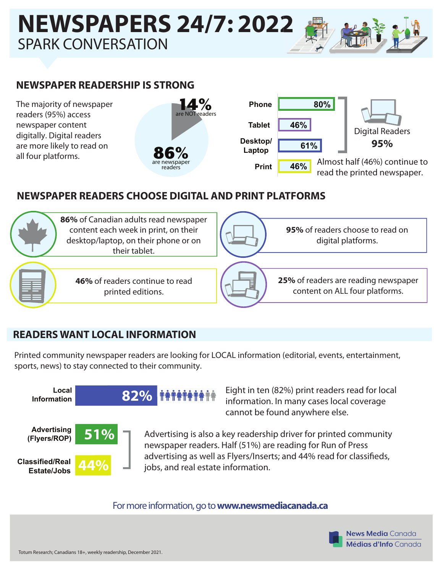# **NEWSPAPERS 24/7: 2022** SPARK CONVERSATION

## **NEWSPAPER READERSHIP IS STRONG**

The majority of newspaper readers (95%) access newspaper content digitally. Digital readers are more likely to read on all four platforms.





### **NEWSPAPER READERS CHOOSE DIGITAL AND PRINT PLATFORMS**



#### **READERS WANT LOCAL INFORMATION**

Printed community newspaper readers are looking for LOCAL information (editorial, events, entertainment, sports, news) to stay connected to their community.



Eight in ten (82%) print readers read for local information. In many cases local coverage cannot be found anywhere else.

Advertising is also a key readership driver for printed community newspaper readers. Half (51%) are reading for Run of Press advertising as well as Flyers/Inserts; and 44% read for classifieds, jobs, and real estate information.

For more information, go to **www.newsmediacanada.ca**